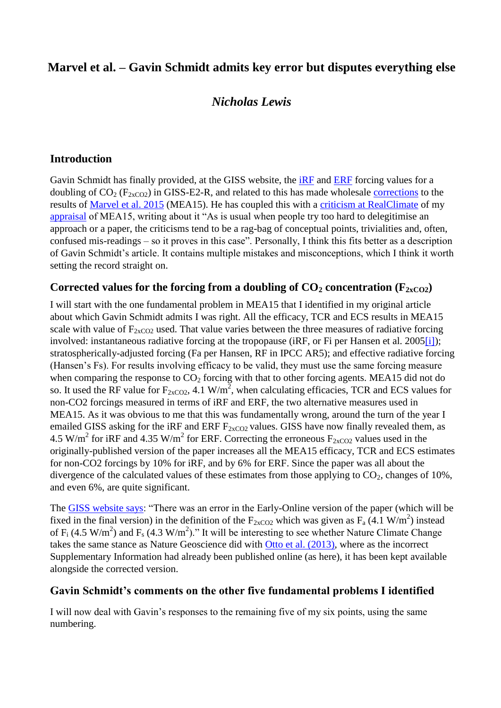# **Marvel et al. – Gavin Schmidt admits key error but disputes everything else**

# *Nicholas Lewis*

#### **Introduction**

Gavin Schmidt has finally provided, at the GISS website, the [iRF](http://data.giss.nasa.gov/modelforce/Marvel_etal2016.html) and [ERF](http://data.giss.nasa.gov/modelforce/Fs_2000_GISS-E2.txt) forcing values for a doubling of  $CO_2$  ( $F_{2xCO2}$ ) in GISS-E2-R, and related to this has made wholesale [corrections](http://data.giss.nasa.gov/modelforce/Marvel_etal_SI_corrected.pdf) to the results of [Marvel et al. 2015](http://www.nature.com/nclimate/journal/vaop/ncurrent/full/nclimate2888.html) (MEA15). He has coupled this with a [criticism at RealClimate](http://www.realclimate.org/index.php/archives/2016/02/marvel-et-al-2015-part-iii-response-to-nic-lewis) of my [appraisal](http://climateaudit.org/2016/01/08/appraising-marvel-et-al-implications-of-forcing-efficacies-for-climate-sensitivity-estimates/) of MEA15, writing about it "As is usual when people try too hard to delegitimise an approach or a paper, the criticisms tend to be a rag-bag of conceptual points, trivialities and, often, confused mis-readings – so it proves in this case". Personally, I think this fits better as a description of Gavin Schmidt's article. It contains multiple mistakes and misconceptions, which I think it worth setting the record straight on.

#### Corrected values for the forcing from a doubling of  $CO_2$  concentration ( $F_{2xCO2}$ )

I will start with the one fundamental problem in MEA15 that I identified in my original article about which Gavin Schmidt admits I was right. All the efficacy, TCR and ECS results in MEA15 scale with value of  $F_{2xCO2}$  used. That value varies between the three measures of radiative forcing involved: instantaneous radiative forcing at the tropopause (iRF, or Fi per Hansen et al. 200[5\[i\]\)](http://climateaudit.org/2016/02/11/marvel-et-al-gavin-schmidt-admits-key-error-but-disputes-everything-else/#_edn1); stratospherically-adjusted forcing (Fa per Hansen, RF in IPCC AR5); and effective radiative forcing (Hansen's Fs). For results involving efficacy to be valid, they must use the same forcing measure when comparing the response to  $CO<sub>2</sub>$  forcing with that to other forcing agents. MEA15 did not do so. It used the RF value for  $F_{2xCO2}$ , 4.1 W/m<sup>2</sup>, when calculating efficacies, TCR and ECS values for non-CO2 forcings measured in terms of iRF and ERF, the two alternative measures used in MEA15. As it was obvious to me that this was fundamentally wrong, around the turn of the year I emailed GISS asking for the iRF and ERF  $F_{2xCO2}$  values. GISS have now finally revealed them, as 4.5 W/m<sup>2</sup> for iRF and 4.35 W/m<sup>2</sup> for ERF. Correcting the erroneous  $F_{2xCO2}$  values used in the originally-published version of the paper increases all the MEA15 efficacy, TCR and ECS estimates for non-CO2 forcings by 10% for iRF, and by 6% for ERF. Since the paper was all about the divergence of the calculated values of these estimates from those applying to  $CO<sub>2</sub>$ , changes of 10%, and even 6%, are quite significant.

The [GISS website says:](http://data.giss.nasa.gov/modelforce/Marvel_etal2015.html) "There was an error in the Early-Online version of the paper (which will be fixed in the final version) in the definition of the  $F_{2xCO2}$  which was given as  $F_a$  (4.1 W/m<sup>2</sup>) instead of  $F_i$  (4.5 W/m<sup>2</sup>) and  $F_s$  (4.3 W/m<sup>2</sup>)." It will be interesting to see whether Nature Climate Change takes the same stance as Nature Geoscience did with [Otto et al. \(2013\),](http://www.nature.com/ngeo/journal/v6/n6/full/ngeo1836.html) where as the incorrect Supplementary Information had already been published online (as here), it has been kept available alongside the corrected version.

#### **Gavin Schmidt's comments on the other five fundamental problems I identified**

I will now deal with Gavin's responses to the remaining five of my six points, using the same numbering.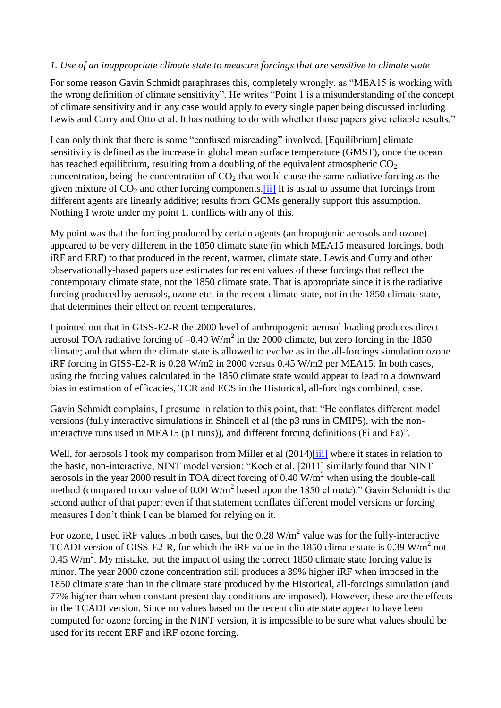#### *1. Use of an inappropriate climate state to measure forcings that are sensitive to climate state*

For some reason Gavin Schmidt paraphrases this, completely wrongly, as "MEA15 is working with the wrong definition of climate sensitivity". He writes "Point 1 is a misunderstanding of the concept of climate sensitivity and in any case would apply to every single paper being discussed including Lewis and Curry and Otto et al. It has nothing to do with whether those papers give reliable results."

I can only think that there is some "confused misreading" involved. [Equilibrium] climate sensitivity is defined as the increase in global mean surface temperature (GMST), once the ocean has reached equilibrium, resulting from a doubling of the equivalent atmospheric  $CO<sub>2</sub>$ concentration, being the concentration of  $CO<sub>2</sub>$  that would cause the same radiative forcing as the given mixture of  $CO_2$  and other forcing components. [ii] It is usual to assume that forcings from different agents are linearly additive; results from GCMs generally support this assumption. Nothing I wrote under my point 1. conflicts with any of this.

My point was that the forcing produced by certain agents (anthropogenic aerosols and ozone) appeared to be very different in the 1850 climate state (in which MEA15 measured forcings, both iRF and ERF) to that produced in the recent, warmer, climate state. Lewis and Curry and other observationally-based papers use estimates for recent values of these forcings that reflect the contemporary climate state, not the 1850 climate state. That is appropriate since it is the radiative forcing produced by aerosols, ozone etc. in the recent climate state, not in the 1850 climate state, that determines their effect on recent temperatures.

I pointed out that in GISS-E2-R the 2000 level of anthropogenic aerosol loading produces direct aerosol TOA radiative forcing of  $-0.40 \text{ W/m}^2$  in the 2000 climate, but zero forcing in the 1850 climate; and that when the climate state is allowed to evolve as in the all-forcings simulation ozone iRF forcing in GISS-E2-R is 0.28 W/m2 in 2000 versus 0.45 W/m2 per MEA15. In both cases, using the forcing values calculated in the 1850 climate state would appear to lead to a downward bias in estimation of efficacies, TCR and ECS in the Historical, all-forcings combined, case.

Gavin Schmidt complains, I presume in relation to this point, that: "He conflates different model versions (fully interactive simulations in Shindell et al (the p3 runs in CMIP5), with the noninteractive runs used in MEA15 (p1 runs)), and different forcing definitions (Fi and Fa)".

Well, for aerosols I took my comparison from Miller et al  $(2014)$ [iii] where it states in relation to the basic, non-interactive, NINT model version: "Koch et al. [2011] similarly found that NINT aerosols in the year 2000 result in TOA direct forcing of  $0.40 \text{ W/m}^2$  when using the double-call method (compared to our value of  $0.00 \text{ W/m}^2$  based upon the 1850 climate)." Gavin Schmidt is the second author of that paper: even if that statement conflates different model versions or forcing measures I don't think I can be blamed for relying on it.

For ozone, I used iRF values in both cases, but the  $0.28 \text{ W/m}^2$  value was for the fully-interactive TCADI version of GISS-E2-R, for which the iRF value in the 1850 climate state is 0.39 W/m<sup>2</sup> not 0.45 W/m<sup>2</sup>. My mistake, but the impact of using the correct 1850 climate state forcing value is minor. The year 2000 ozone concentration still produces a 39% higher iRF when imposed in the 1850 climate state than in the climate state produced by the Historical, all-forcings simulation (and 77% higher than when constant present day conditions are imposed). However, these are the effects in the TCADI version. Since no values based on the recent climate state appear to have been computed for ozone forcing in the NINT version, it is impossible to be sure what values should be used for its recent ERF and iRF ozone forcing.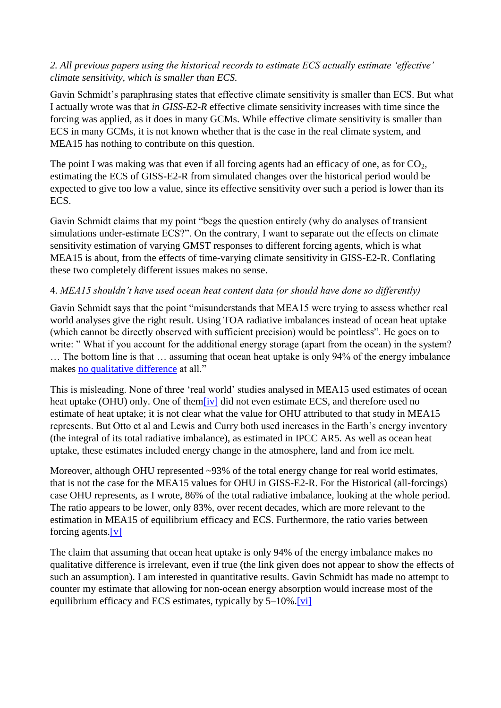#### *2. All previous papers using the historical records to estimate ECS actually estimate 'effective' climate sensitivity, which is smaller than ECS.*

Gavin Schmidt's paraphrasing states that effective climate sensitivity is smaller than ECS. But what I actually wrote was that *in GISS-E2-R* effective climate sensitivity increases with time since the forcing was applied, as it does in many GCMs. While effective climate sensitivity is smaller than ECS in many GCMs, it is not known whether that is the case in the real climate system, and MEA15 has nothing to contribute on this question.

The point I was making was that even if all forcing agents had an efficacy of one, as for  $CO<sub>2</sub>$ , estimating the ECS of GISS-E2-R from simulated changes over the historical period would be expected to give too low a value, since its effective sensitivity over such a period is lower than its ECS.

Gavin Schmidt claims that my point "begs the question entirely (why do analyses of transient simulations under-estimate ECS?". On the contrary, I want to separate out the effects on climate sensitivity estimation of varying GMST responses to different forcing agents, which is what MEA15 is about, from the effects of time-varying climate sensitivity in GISS-E2-R. Conflating these two completely different issues makes no sense.

#### 4. *MEA15 shouldn't have used ocean heat content data (or should have done so differently)*

Gavin Schmidt says that the point "misunderstands that MEA15 were trying to assess whether real world analyses give the right result. Using TOA radiative imbalances instead of ocean heat uptake (which cannot be directly observed with sufficient precision) would be pointless". He goes on to write: "What if you account for the additional energy storage (apart from the ocean) in the system? … The bottom line is that … assuming that ocean heat uptake is only 94% of the energy imbalance makes [no qualitative difference](http://data.giss.nasa.gov/modelforce/Marvel_etal2016.html) at all."

This is misleading. None of three 'real world' studies analysed in MEA15 used estimates of ocean heat uptake (OHU) only. One of the[m\[iv\]](http://climateaudit.org/2016/02/11/marvel-et-al-gavin-schmidt-admits-key-error-but-disputes-everything-else/#_edn4) did not even estimate ECS, and therefore used no estimate of heat uptake; it is not clear what the value for OHU attributed to that study in MEA15 represents. But Otto et al and Lewis and Curry both used increases in the Earth's energy inventory (the integral of its total radiative imbalance), as estimated in IPCC AR5. As well as ocean heat uptake, these estimates included energy change in the atmosphere, land and from ice melt.

Moreover, although OHU represented ~93% of the total energy change for real world estimates, that is not the case for the MEA15 values for OHU in GISS-E2-R. For the Historical (all-forcings) case OHU represents, as I wrote, 86% of the total radiative imbalance, looking at the whole period. The ratio appears to be lower, only 83%, over recent decades, which are more relevant to the estimation in MEA15 of equilibrium efficacy and ECS. Furthermore, the ratio varies between forcing agents. $[v]$ 

The claim that assuming that ocean heat uptake is only 94% of the energy imbalance makes no qualitative difference is irrelevant, even if true (the link given does not appear to show the effects of such an assumption). I am interested in quantitative results. Gavin Schmidt has made no attempt to counter my estimate that allowing for non-ocean energy absorption would increase most of the equilibrium efficacy and ECS estimates, typically by 5–10%[.\[vi\]](http://climateaudit.org/2016/02/11/marvel-et-al-gavin-schmidt-admits-key-error-but-disputes-everything-else/#_edn6)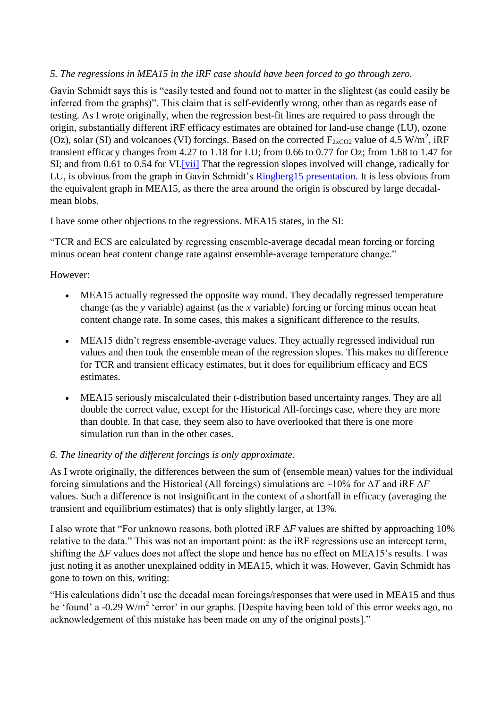#### *5. The regressions in MEA15 in the iRF case should have been forced to go through zero.*

Gavin Schmidt says this is "easily tested and found not to matter in the slightest (as could easily be inferred from the graphs)". This claim that is self-evidently wrong, other than as regards ease of testing. As I wrote originally, when the regression best-fit lines are required to pass through the origin, substantially different iRF efficacy estimates are obtained for land-use change (LU), ozone (Oz), solar (SI) and volcanoes (VI) forcings. Based on the corrected  $F_{2xCO2}$  value of 4.5 W/m<sup>2</sup>, iRF transient efficacy changes from 4.27 to 1.18 for LU; from 0.66 to 0.77 for Oz; from 1.68 to 1.47 for SI; and from 0.61 to 0.54 for VI.<sup>[vii]</sup> That the regression slopes involved will change, radically for LU, is obvious from the graph in Gavin Schmidt's [Ringberg15 presentation.](http://www.mpimet.mpg.de/fileadmin/atmosphaere/WCRP_Grand_Challenge_Workshop/Ringberg_2015/Talks/Schmidt_25032015.pdf) It is less obvious from the equivalent graph in MEA15, as there the area around the origin is obscured by large decadalmean blobs.

I have some other objections to the regressions. MEA15 states, in the SI:

"TCR and ECS are calculated by regressing ensemble-average decadal mean forcing or forcing minus ocean heat content change rate against ensemble-average temperature change."

However:

- MEA15 actually regressed the opposite way round. They decadally regressed temperature change (as the *y* variable) against (as the *x* variable) forcing or forcing minus ocean heat content change rate. In some cases, this makes a significant difference to the results.
- MEA15 didn't regress ensemble-average values. They actually regressed individual run values and then took the ensemble mean of the regression slopes. This makes no difference for TCR and transient efficacy estimates, but it does for equilibrium efficacy and ECS estimates.
- MEA15 seriously miscalculated their *t*-distribution based uncertainty ranges. They are all double the correct value, except for the Historical All-forcings case, where they are more than double. In that case, they seem also to have overlooked that there is one more simulation run than in the other cases.

#### *6. The linearity of the different forcings is only approximate.*

As I wrote originally, the differences between the sum of (ensemble mean) values for the individual forcing simulations and the Historical (All forcings) simulations are ~10% for Δ*T* and iRF Δ*F* values. Such a difference is not insignificant in the context of a shortfall in efficacy (averaging the transient and equilibrium estimates) that is only slightly larger, at 13%.

I also wrote that "For unknown reasons, both plotted iRF Δ*F* values are shifted by approaching 10% relative to the data." This was not an important point: as the iRF regressions use an intercept term, shifting the  $\Delta F$  values does not affect the slope and hence has no effect on MEA15's results. I was just noting it as another unexplained oddity in MEA15, which it was. However, Gavin Schmidt has gone to town on this, writing:

"His calculations didn't use the decadal mean forcings/responses that were used in MEA15 and thus he 'found' a -0.29 W/m<sup>2</sup> 'error' in our graphs. [Despite having been told of this error weeks ago, no acknowledgement of this mistake has been made on any of the original posts]."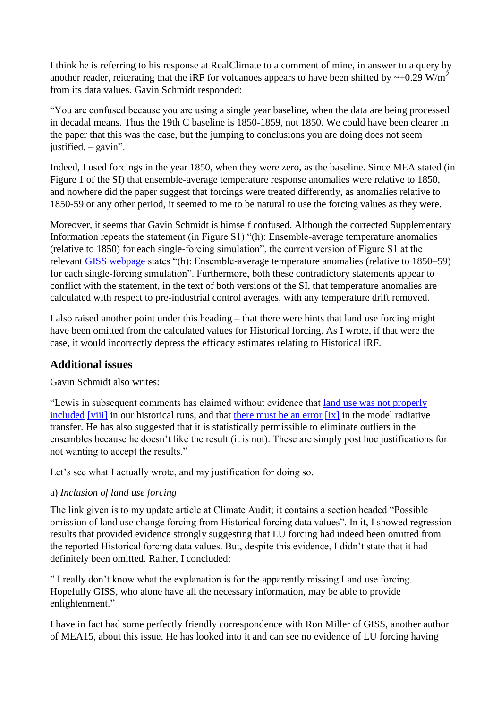I think he is referring to his response at RealClimate to a comment of mine, in answer to a query by another reader, reiterating that the iRF for volcanoes appears to have been shifted by  $\sim$ +0.29 W/m<sup>2</sup> from its data values. Gavin Schmidt responded:

"You are confused because you are using a single year baseline, when the data are being processed in decadal means. Thus the 19th C baseline is 1850-1859, not 1850. We could have been clearer in the paper that this was the case, but the jumping to conclusions you are doing does not seem justified. – gavin".

Indeed, I used forcings in the year 1850, when they were zero, as the baseline. Since MEA stated (in Figure 1 of the SI) that ensemble-average temperature response anomalies were relative to 1850, and nowhere did the paper suggest that forcings were treated differently, as anomalies relative to 1850-59 or any other period, it seemed to me to be natural to use the forcing values as they were.

Moreover, it seems that Gavin Schmidt is himself confused. Although the corrected Supplementary Information repeats the statement (in Figure S1) "(h): Ensemble-average temperature anomalies (relative to 1850) for each single-forcing simulation", the current version of Figure S1 at the relevant [GISS webpage](http://climateaudit.org/2016/02/11/marvel-et-al-gavin-schmidt-admits-key-error-but-disputes-everything-else/data.giss.nasa.gov/modelforce/Marvel_etal2016.html) states "(h): Ensemble-average temperature anomalies (relative to 1850–59) for each single-forcing simulation". Furthermore, both these contradictory statements appear to conflict with the statement, in the text of both versions of the SI, that temperature anomalies are calculated with respect to pre-industrial control averages, with any temperature drift removed.

I also raised another point under this heading – that there were hints that land use forcing might have been omitted from the calculated values for Historical forcing. As I wrote, if that were the case, it would incorrectly depress the efficacy estimates relating to Historical iRF.

### **Additional issues**

Gavin Schmidt also writes:

"Lewis in subsequent comments has claimed without evidence that [land use was not properly](http://climateaudit.org/2016/01/21/marvel-et-al-implications-of-forcing-efficacies-for-climate-sensitivity-estimates-an-update/)  [included](http://climateaudit.org/2016/01/21/marvel-et-al-implications-of-forcing-efficacies-for-climate-sensitivity-estimates-an-update/) [\[viii\]](http://climateaudit.org/2016/02/11/marvel-et-al-gavin-schmidt-admits-key-error-but-disputes-everything-else/#_edn8) in our historical runs, and that [there must be an error](http://climateaudit.org/2016/01/08/appraising-marvel-et-al-implications-of-forcing-efficacies-for-climate-sensitivity-estimates/#comment-766003) [\[ix\]](http://climateaudit.org/2016/02/11/marvel-et-al-gavin-schmidt-admits-key-error-but-disputes-everything-else/#_edn9) in the model radiative transfer. He has also suggested that it is statistically permissible to eliminate outliers in the ensembles because he doesn't like the result (it is not). These are simply post hoc justifications for not wanting to accept the results."

Let's see what I actually wrote, and my justification for doing so.

### a) *Inclusion of land use forcing*

The link given is to my update article at Climate Audit; it contains a section headed "Possible omission of land use change forcing from Historical forcing data values". In it, I showed regression results that provided evidence strongly suggesting that LU forcing had indeed been omitted from the reported Historical forcing data values. But, despite this evidence, I didn't state that it had definitely been omitted. Rather, I concluded:

" I really don't know what the explanation is for the apparently missing Land use forcing. Hopefully GISS, who alone have all the necessary information, may be able to provide enlightenment."

I have in fact had some perfectly friendly correspondence with Ron Miller of GISS, another author of MEA15, about this issue. He has looked into it and can see no evidence of LU forcing having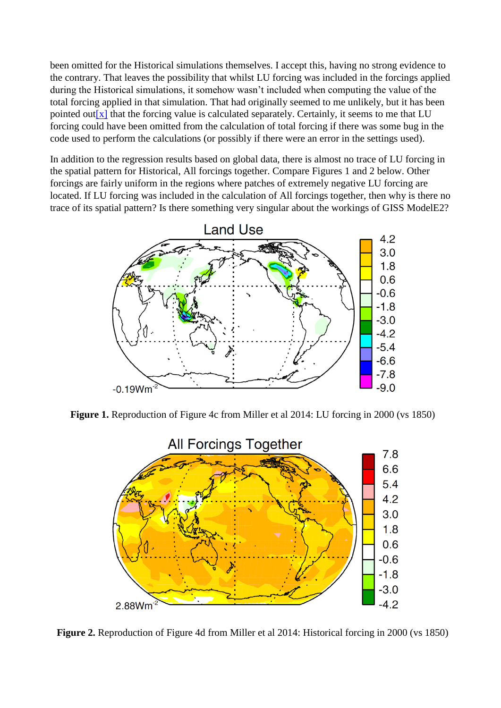been omitted for the Historical simulations themselves. I accept this, having no strong evidence to the contrary. That leaves the possibility that whilst LU forcing was included in the forcings applied during the Historical simulations, it somehow wasn't included when computing the value of the total forcing applied in that simulation. That had originally seemed to me unlikely, but it has been pointed out  $[x]$  that the forcing value is calculated separately. Certainly, it seems to me that LU forcing could have been omitted from the calculation of total forcing if there was some bug in the code used to perform the calculations (or possibly if there were an error in the settings used).

In addition to the regression results based on global data, there is almost no trace of LU forcing in the spatial pattern for Historical, All forcings together. Compare Figures 1 and 2 below. Other forcings are fairly uniform in the regions where patches of extremely negative LU forcing are located. If LU forcing was included in the calculation of All forcings together, then why is there no trace of its spatial pattern? Is there something very singular about the workings of GISS ModelE2?



**Figure 1.** Reproduction of Figure 4c from Miller et al 2014: LU forcing in 2000 (vs 1850)



**Figure 2.** Reproduction of Figure 4d from Miller et al 2014: Historical forcing in 2000 (vs 1850)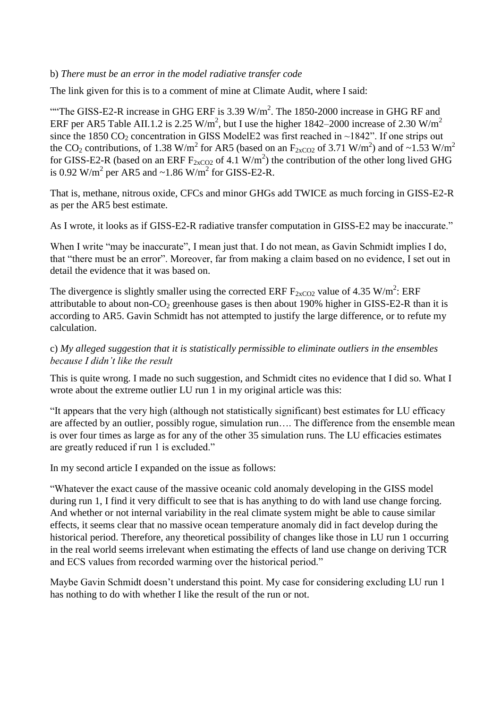#### b) *There must be an error in the model radiative transfer code*

The link given for this is to a comment of mine at Climate Audit, where I said:

"The GISS-E2-R increase in GHG ERF is 3.39  $W/m^2$ . The 1850-2000 increase in GHG RF and ERF per AR5 Table AII.1.2 is 2.25 W/m<sup>2</sup>, but I use the higher 1842–2000 increase of 2.30 W/m<sup>2</sup> since the 1850 CO<sub>2</sub> concentration in GISS ModelE2 was first reached in  $\sim$ 1842". If one strips out the CO<sub>2</sub> contributions, of 1.38 W/m<sup>2</sup> for AR5 (based on an  $F_{2xCO2}$  of 3.71 W/m<sup>2</sup>) and of ~1.53 W/m<sup>2</sup> for GISS-E2-R (based on an ERF  $F_{2xCO2}$  of 4.1 W/m<sup>2</sup>) the contribution of the other long lived GHG is 0.92 W/m<sup>2</sup> per AR5 and  $\sim$ 1.86 W/m<sup>2</sup> for GISS-E2-R.

That is, methane, nitrous oxide, CFCs and minor GHGs add TWICE as much forcing in GISS-E2-R as per the AR5 best estimate.

As I wrote, it looks as if GISS-E2-R radiative transfer computation in GISS-E2 may be inaccurate."

When I write "may be inaccurate", I mean just that. I do not mean, as Gavin Schmidt implies I do, that "there must be an error". Moreover, far from making a claim based on no evidence, I set out in detail the evidence that it was based on.

The divergence is slightly smaller using the corrected ERF  $F_{2xCO2}$  value of 4.35 W/m<sup>2</sup>: ERF attributable to about non- $CO_2$  greenhouse gases is then about 190% higher in GISS-E2-R than it is according to AR5. Gavin Schmidt has not attempted to justify the large difference, or to refute my calculation.

#### c) *My alleged suggestion that it is statistically permissible to eliminate outliers in the ensembles because I didn't like the result*

This is quite wrong. I made no such suggestion, and Schmidt cites no evidence that I did so. What I wrote about the extreme outlier LU run 1 in my original article was this:

"It appears that the very high (although not statistically significant) best estimates for LU efficacy are affected by an outlier, possibly rogue, simulation run…. The difference from the ensemble mean is over four times as large as for any of the other 35 simulation runs. The LU efficacies estimates are greatly reduced if run 1 is excluded."

In my second article I expanded on the issue as follows:

"Whatever the exact cause of the massive oceanic cold anomaly developing in the GISS model during run 1, I find it very difficult to see that is has anything to do with land use change forcing. And whether or not internal variability in the real climate system might be able to cause similar effects, it seems clear that no massive ocean temperature anomaly did in fact develop during the historical period. Therefore, any theoretical possibility of changes like those in LU run 1 occurring in the real world seems irrelevant when estimating the effects of land use change on deriving TCR and ECS values from recorded warming over the historical period."

Maybe Gavin Schmidt doesn't understand this point. My case for considering excluding LU run 1 has nothing to do with whether I like the result of the run or not.